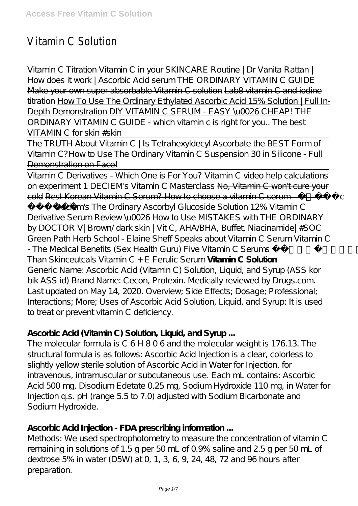# Vitamin C Solution

Vitamin C Titration *Vitamin C in your SKINCARE Routine | Dr Vanita Rattan | How does it work | Ascorbic Acid serum* THE ORDINARY VITAMIN C GUIDE Make your own super absorbable Vitamin C solution Lab8 vitamin C and iodine titration How To Use The Ordinary Ethylated Ascorbic Acid 15% Solution | Full In-Depth Demonstration DIY VITAMIN C SERUM - EASY \u0026 CHEAP! *THE ORDINARY VITAMIN C GUIDE - which vitamin c is right for you.. The best VITAMIN C for skin #skin*

The TRUTH About Vitamin C | Is Tetrahexyldecyl Ascorbate the BEST Form of Vitamin C?How to Use The Ordinary Vitamin C Suspension 30 in Silicone - Full Demonstration on Face!

Vitamin C Derivatives - Which One is For You? Vitamin C video help calculations on experiment 1 DECIEM's Vitamin C Masterclass No, Vitamin C won't cure your cold Best Korean Vitamin C Serum? How to choose a vitamin C serum -  $\epsilon$ 

뷰티템 *Deciem's The Ordinary Ascorbyl Glucoside Solution 12% Vitamin C Derivative Serum Review \u0026 How to Use MISTAKES with THE ORDINARY by DOCTOR V| Brown/ dark skin | Vit C, AHA/BHA, Buffet, Niacinamide| #SOC Green Path Herb School - Elaine Sheff Speaks about Vitamin C Serum Vitamin C - The Medical Benefits (Sex Health Guru) Five Vitamin C Serums Better Than Skinceutcals Vitamin C + E Ferulic Serum* **Vitamin C Solution** Generic Name: Ascorbic Acid (Vitamin C) Solution, Liquid, and Syrup (ASS kor bik ASS id) Brand Name: Cecon, Protexin. Medically reviewed by Drugs.com. Last updated on May 14, 2020. Overview; Side Effects; Dosage; Professional; Interactions; More; Uses of Ascorbic Acid Solution, Liquid, and Syrup: It is used to treat or prevent vitamin C deficiency.

#### **Ascorbic Acid (Vitamin C) Solution, Liquid, and Syrup ...**

The molecular formula is C 6 H 8 0 6 and the molecular weight is 176.13. The structural formula is as follows: Ascorbic Acid Injection is a clear, colorless to slightly yellow sterile solution of Ascorbic Acid in Water for Injection, for intravenous, intramuscular or subcutaneous use. Each mL contains: Ascorbic Acid 500 mg, Disodium Edetate 0.25 mg, Sodium Hydroxide 110 mg, in Water for Injection q.s. pH (range 5.5 to 7.0) adjusted with Sodium Bicarbonate and Sodium Hydroxide.

#### **Ascorbic Acid Injection - FDA prescribing information ...**

Methods: We used spectrophotometry to measure the concentration of vitamin C remaining in solutions of 1.5 g per 50 mL of 0.9% saline and 2.5 g per 50 mL of dextrose 5% in water (D5W) at 0, 1, 3, 6, 9, 24, 48, 72 and 96 hours after preparation.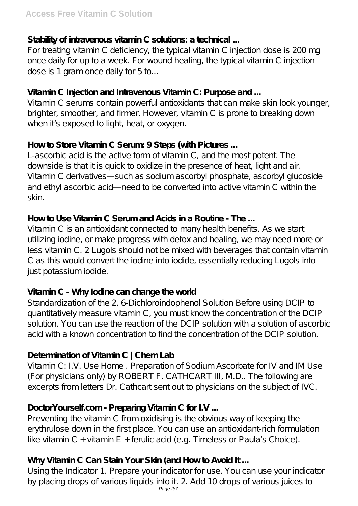#### **Stability of intravenous vitamin C solutions: a technical ...**

For treating vitamin C deficiency, the typical vitamin C injection dose is 200 mg once daily for up to a week. For wound healing, the typical vitamin C injection dose is 1 gram once daily for 5 to...

#### **Vitamin C Injection and Intravenous Vitamin C: Purpose and ...**

Vitamin C serums contain powerful antioxidants that can make skin look younger, brighter, smoother, and firmer. However, vitamin C is prone to breaking down when it's exposed to light, heat, or oxygen.

#### **How to Store Vitamin C Serum: 9 Steps (with Pictures ...**

L-ascorbic acid is the active form of vitamin C, and the most potent. The downside is that it is quick to oxidize in the presence of heat, light and air. Vitamin C derivatives—such as sodium ascorbyl phosphate, ascorbyl glucoside and ethyl ascorbic acid—need to be converted into active vitamin C within the skin.

#### **How to Use Vitamin C Serum and Acids in a Routine - The ...**

Vitamin C is an antioxidant connected to many health benefits. As we start utilizing iodine, or make progress with detox and healing, we may need more or less vitamin C. 2 Lugols should not be mixed with beverages that contain vitamin C as this would convert the iodine into iodide, essentially reducing Lugols into just potassium iodide.

# **Vitamin C - Why Iodine can change the world**

Standardization of the 2, 6-Dichloroindophenol Solution Before using DCIP to quantitatively measure vitamin C, you must know the concentration of the DCIP solution. You can use the reaction of the DCIP solution with a solution of ascorbic acid with a known concentration to find the concentration of the DCIP solution.

# **Determination of Vitamin C | Chem Lab**

Vitamin C: I.V. Use Home . Preparation of Sodium Ascorbate for IV and IM Use (For physicians only) by ROBERT F. CATHCART III, M.D.. The following are excerpts from letters Dr. Cathcart sent out to physicians on the subject of IVC.

# **DoctorYourself.com - Preparing Vitamin C for I.V ...**

Preventing the vitamin C from oxidising is the obvious way of keeping the erythrulose down in the first place. You can use an antioxidant-rich formulation like vitamin C + vitamin E + ferulic acid (e.g. Timeless or Paula's Choice).

# **Why Vitamin C Can Stain Your Skin (and How to Avoid It ...**

Using the Indicator 1. Prepare your indicator for use. You can use your indicator by placing drops of various liquids into it. 2. Add 10 drops of various juices to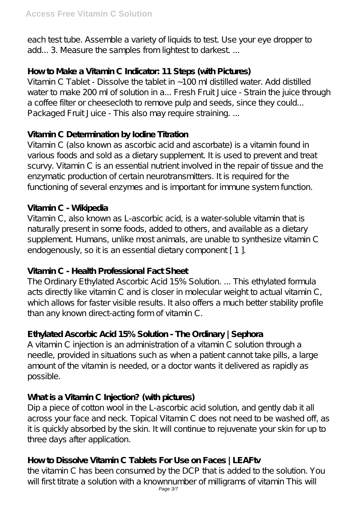each test tube. Assemble a variety of liquids to test. Use your eye dropper to add... 3. Measure the samples from lightest to darkest...

# **How to Make a Vitamin C Indicator: 11 Steps (with Pictures)**

Vitamin C Tablet - Dissolve the tablet in ~100 ml distilled water. Add distilled water to make 200 ml of solution in a... Fresh Fruit Juice - Strain the juice through a coffee filter or cheesecloth to remove pulp and seeds, since they could... Packaged Fruit Juice - This also may require straining. ...

# **Vitamin C Determination by Iodine Titration**

Vitamin C (also known as ascorbic acid and ascorbate) is a vitamin found in various foods and sold as a dietary supplement. It is used to prevent and treat scurvy. Vitamin C is an essential nutrient involved in the repair of tissue and the enzymatic production of certain neurotransmitters. It is required for the functioning of several enzymes and is important for immune system function.

# **Vitamin C - Wikipedia**

Vitamin C, also known as L-ascorbic acid, is a water-soluble vitamin that is naturally present in some foods, added to others, and available as a dietary supplement. Humans, unlike most animals, are unable to synthesize vitamin C endogenously, so it is an essential dietary component [1].

# **Vitamin C - Health Professional Fact Sheet**

The Ordinary Ethylated Ascorbic Acid 15% Solution. ... This ethylated formula acts directly like vitamin C and is closer in molecular weight to actual vitamin C, which allows for faster visible results. It also offers a much better stability profile than any known direct-acting form of vitamin C.

# **Ethylated Ascorbic Acid 15% Solution - The Ordinary | Sephora**

A vitamin C injection is an administration of a vitamin C solution through a needle, provided in situations such as when a patient cannot take pills, a large amount of the vitamin is needed, or a doctor wants it delivered as rapidly as possible.

# **What is a Vitamin C Injection? (with pictures)**

Dip a piece of cotton wool in the L-ascorbic acid solution, and gently dab it all across your face and neck. Topical Vitamin C does not need to be washed off, as it is quickly absorbed by the skin. It will continue to rejuvenate your skin for up to three days after application.

# **How to Dissolve Vitamin C Tablets For Use on Faces | LEAFtv**

the vitamin C has been consumed by the DCP that is added to the solution. You will first titrate a solution with a knownnumber of milligrams of vitamin This will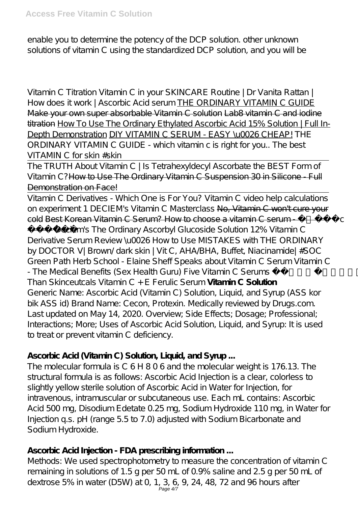enable you to determine the potency of the DCP solution. other unknown solutions of vitamin C using the standardized DCP solution, and you will be

Vitamin C Titration *Vitamin C in your SKINCARE Routine | Dr Vanita Rattan | How does it work | Ascorbic Acid serum* THE ORDINARY VITAMIN C GUIDE Make your own super absorbable Vitamin C solution Lab8 vitamin C and iodine titration How To Use The Ordinary E thylated Ascorbic Acid 15% Solution | Full In-Depth Demonstration DIY VITAMIN C SERUM - EASY \u0026 CHEAP! *THE ORDINARY VITAMIN C GUIDE - which vitamin c is right for you.. The best VITAMIN C for skin #skin*

The TRUTH About Vitamin C | Is Tetrahexyldecyl Ascorbate the BEST Form of Vitamin C?How to Use The Ordinary Vitamin C Suspension 30 in Silicone - Full Demonstration on Face!

Vitamin C Derivatives - Which One is For You? Vitamin C video help calculations on experiment 1 DECIEM's Vitamin C Masterclass No, Vitamin C won't cure your cold Best Korean Vitamin C Serum? How to choose a vitamin C serum -

뷰티템 *Deciem's The Ordinary Ascorbyl Glucoside Solution 12% Vitamin C Derivative Serum Review \u0026 How to Use MISTAKES with THE ORDINARY by DOCTOR V| Brown/ dark skin | Vit C, AHA/BHA, Buffet, Niacinamide| #SOC Green Path Herb School - Elaine Sheff Speaks about Vitamin C Serum Vitamin C - The Medical Benefits (Sex Health Guru) Five Vitamin C Serums Better Than Skinceutcals Vitamin C + E Ferulic Serum* **Vitamin C Solution** Generic Name: Ascorbic Acid (Vitamin C) Solution, Liquid, and Syrup (ASS kor bik ASS id) Brand Name: Cecon, Protexin. Medically reviewed by Drugs.com. Last updated on May 14, 2020. Overview; Side Effects; Dosage; Professional; Interactions; More; Uses of Ascorbic Acid Solution, Liquid, and Syrup: It is used to treat or prevent vitamin C deficiency.

# **Ascorbic Acid (Vitamin C) Solution, Liquid, and Syrup ...**

The molecular formula is C 6 H 8 0 6 and the molecular weight is 176.13. The structural formula is as follows: Ascorbic Acid Injection is a clear, colorless to slightly yellow sterile solution of Ascorbic Acid in Water for Injection, for intravenous, intramuscular or subcutaneous use. Each mL contains: Ascorbic Acid 500 mg, Disodium Edetate 0.25 mg, Sodium Hydroxide 110 mg, in Water for Injection q.s. pH (range 5.5 to 7.0) adjusted with Sodium Bicarbonate and Sodium Hydroxide.

# **Ascorbic Acid Injection - FDA prescribing information ...**

Methods: We used spectrophotometry to measure the concentration of vitamin C remaining in solutions of 1.5 g per 50 mL of 0.9% saline and 2.5 g per 50 mL of dextrose 5% in water (D5W) at 0, 1, 3, 6, 9, 24, 48, 72 and 96 hours after<br>Page 4/7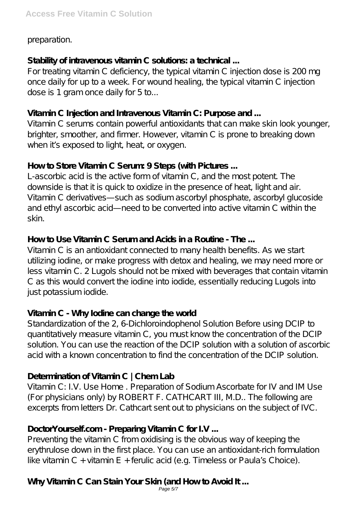preparation.

#### **Stability of intravenous vitamin C solutions: a technical ...**

For treating vitamin C deficiency, the typical vitamin C injection dose is 200 mg once daily for up to a week. For wound healing, the typical vitamin C injection dose is 1 gram once daily for 5 to...

#### **Vitamin C Injection and Intravenous Vitamin C: Purpose and ...**

Vitamin C serums contain powerful antioxidants that can make skin look younger, brighter, smoother, and firmer. However, vitamin C is prone to breaking down when it's exposed to light, heat, or oxygen.

#### **How to Store Vitamin C Serum: 9 Steps (with Pictures ...**

L-ascorbic acid is the active form of vitamin C, and the most potent. The downside is that it is quick to oxidize in the presence of heat, light and air. Vitamin C derivatives—such as sodium ascorbyl phosphate, ascorbyl glucoside and ethyl ascorbic acid—need to be converted into active vitamin C within the skin.

# **How to Use Vitamin C Serum and Acids in a Routine - The ...**

Vitamin C is an antioxidant connected to many health benefits. As we start utilizing iodine, or make progress with detox and healing, we may need more or less vitamin C. 2 Lugols should not be mixed with beverages that contain vitamin C as this would convert the iodine into iodide, essentially reducing Lugols into just potassium iodide.

# **Vitamin C - Why Iodine can change the world**

Standardization of the 2, 6-Dichloroindophenol Solution Before using DCIP to quantitatively measure vitamin C, you must know the concentration of the DCIP solution. You can use the reaction of the DCIP solution with a solution of ascorbic acid with a known concentration to find the concentration of the DCIP solution.

# **Determination of Vitamin C | Chem Lab**

Vitamin C: I.V. Use Home . Preparation of Sodium Ascorbate for IV and IM Use (For physicians only) by ROBERT F. CATHCART III, M.D.. The following are excerpts from letters Dr. Cathcart sent out to physicians on the subject of IVC.

# **DoctorYourself.com - Preparing Vitamin C for I.V ...**

Preventing the vitamin C from oxidising is the obvious way of keeping the erythrulose down in the first place. You can use an antioxidant-rich formulation like vitamin C + vitamin E + ferulic acid (e.g. Timeless or Paula's Choice).

# **Why Vitamin C Can Stain Your Skin (and How to Avoid It ...**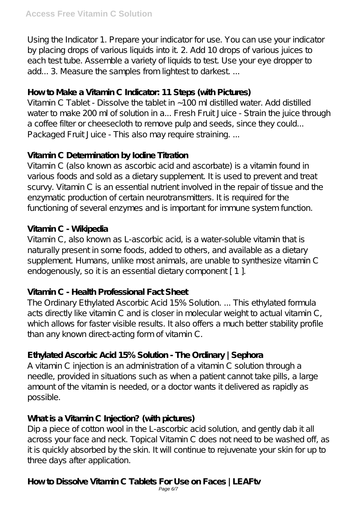Using the Indicator 1. Prepare your indicator for use. You can use your indicator by placing drops of various liquids into it. 2. Add 10 drops of various juices to each test tube. Assemble a variety of liquids to test. Use your eye dropper to add... 3. Measure the samples from lightest to darkest ...

#### **How to Make a Vitamin C Indicator: 11 Steps (with Pictures)**

Vitamin C Tablet - Dissolve the tablet in ~100 ml distilled water. Add distilled water to make 200 ml of solution in a... Fresh Fruit Juice - Strain the juice through a coffee filter or cheesecloth to remove pulp and seeds, since they could... Packaged Fruit Juice - This also may require straining. ...

#### **Vitamin C Determination by Iodine Titration**

Vitamin C (also known as ascorbic acid and ascorbate) is a vitamin found in various foods and sold as a dietary supplement. It is used to prevent and treat scurvy. Vitamin C is an essential nutrient involved in the repair of tissue and the enzymatic production of certain neurotransmitters. It is required for the functioning of several enzymes and is important for immune system function.

#### **Vitamin C - Wikipedia**

Vitamin C, also known as L-ascorbic acid, is a water-soluble vitamin that is naturally present in some foods, added to others, and available as a dietary supplement. Humans, unlike most animals, are unable to synthesize vitamin C endogenously, so it is an essential dietary component [1].

# **Vitamin C - Health Professional Fact Sheet**

The Ordinary Ethylated Ascorbic Acid 15% Solution. ... This ethylated formula acts directly like vitamin C and is closer in molecular weight to actual vitamin C, which allows for faster visible results. It also offers a much better stability profile than any known direct-acting form of vitamin C.

# **Ethylated Ascorbic Acid 15% Solution - The Ordinary | Sephora**

A vitamin C injection is an administration of a vitamin C solution through a needle, provided in situations such as when a patient cannot take pills, a large amount of the vitamin is needed, or a doctor wants it delivered as rapidly as possible.

# **What is a Vitamin C Injection? (with pictures)**

Dip a piece of cotton wool in the L-ascorbic acid solution, and gently dab it all across your face and neck. Topical Vitamin C does not need to be washed off, as it is quickly absorbed by the skin. It will continue to rejuvenate your skin for up to three days after application.

# **How to Dissolve Vitamin C Tablets For Use on Faces | LEAFtv**